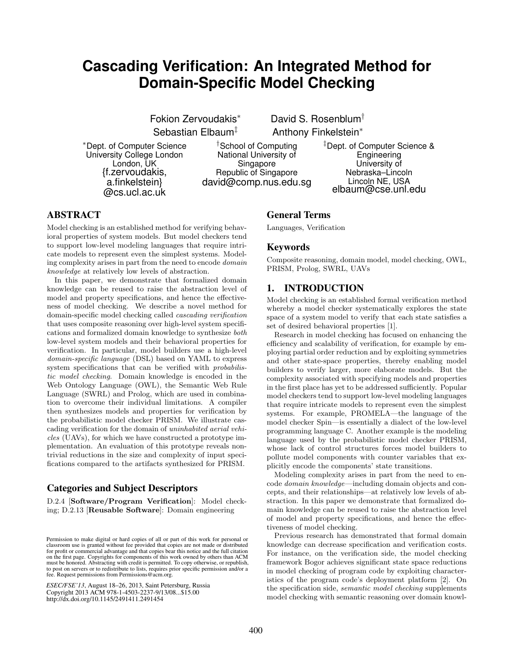# **Cascading Verification: An Integrated Method for Domain-Specific Model Checking**

Fokion Zervoudakis<sup>∗</sup> David S. Rosenblum†

Sebastian Elbaum<sup>‡</sup> Anthony Finkelstein<sup>\*</sup>

<sup>∗</sup>Dept. of Computer Science University College London London, UK {f.zervoudakis, a.finkelstein} @cs.ucl.ac.uk

†School of Computing National University of Singapore Republic of Singapore david@comp.nus.edu.sg ‡Dept. of Computer Science & Engineering University of Nebraska–Lincoln Lincoln NE, USA elbaum@cse.unl.edu

#### ABSTRACT

Model checking is an established method for verifying behavioral properties of system models. But model checkers tend to support low-level modeling languages that require intricate models to represent even the simplest systems. Modeling complexity arises in part from the need to encode domain knowledge at relatively low levels of abstraction.

In this paper, we demonstrate that formalized domain knowledge can be reused to raise the abstraction level of model and property specifications, and hence the effectiveness of model checking. We describe a novel method for domain-specific model checking called cascading verification that uses composite reasoning over high-level system specifications and formalized domain knowledge to synthesize both low-level system models and their behavioral properties for verification. In particular, model builders use a high-level domain-specific language (DSL) based on YAML to express system specifications that can be verified with probabilistic model checking. Domain knowledge is encoded in the Web Ontology Language (OWL), the Semantic Web Rule Language (SWRL) and Prolog, which are used in combination to overcome their individual limitations. A compiler then synthesizes models and properties for verification by the probabilistic model checker PRISM. We illustrate cascading verification for the domain of uninhabited aerial vehicles (UAVs), for which we have constructed a prototype implementation. An evaluation of this prototype reveals nontrivial reductions in the size and complexity of input specifications compared to the artifacts synthesized for PRISM.

### Categories and Subject Descriptors

D.2.4 [Software/Program Verification]: Model checking; D.2.13 [Reusable Software]: Domain engineering

ESEC/FSE'13, August 18-26, 2013, Saint Petersburg, Russia *ESEC/FSE'13* August 18–26 2013, Saint Petersburg, Russian Federation Copyright 2013 ACM 978-1-4503-2237-9/13/08...\$15.00 http://dx.doi.org/10.1145/2491411.2491454

#### General Terms

Languages, Verification

#### Keywords

Composite reasoning, domain model, model checking, OWL, PRISM, Prolog, SWRL, UAVs

#### 1. INTRODUCTION

Model checking is an established formal verification method whereby a model checker systematically explores the state space of a system model to verify that each state satisfies a set of desired behavioral properties [1].

Research in model checking has focused on enhancing the efficiency and scalability of verification, for example by employing partial order reduction and by exploiting symmetries and other state-space properties, thereby enabling model builders to verify larger, more elaborate models. But the complexity associated with specifying models and properties in the first place has yet to be addressed sufficiently. Popular model checkers tend to support low-level modeling languages that require intricate models to represent even the simplest systems. For example, PROMELA—the language of the model checker Spin—is essentially a dialect of the low-level programming language C. Another example is the modeling language used by the probabilistic model checker PRISM, whose lack of control structures forces model builders to pollute model components with counter variables that explicitly encode the components' state transitions.

Modeling complexity arises in part from the need to encode domain knowledge—including domain objects and concepts, and their relationships—at relatively low levels of abstraction. In this paper we demonstrate that formalized domain knowledge can be reused to raise the abstraction level of model and property specifications, and hence the effectiveness of model checking.

Previous research has demonstrated that formal domain knowledge can decrease specification and verification costs. For instance, on the verification side, the model checking framework Bogor achieves significant state space reductions in model checking of program code by exploiting characteristics of the program code's deployment platform [2]. On the specification side, semantic model checking supplements model checking with semantic reasoning over domain knowl-

classroom use is granted without fee provided that copies are not made or distributed<br>for an fit to communical advantage and that copies has this patient and the full distinct for profit or commercial advantage and that copies bear this notice and the full chattor<br>on the first nage. Convrights for components of this work owned by others than ACM on the first page. Copyrights for components of this work owned by others than ACM<br>must be honored. Abstracting with credit is permitted. To copy otherwise, or republish, to post on servers or to redistribute to lists, requires prior specific permission and/or a fee. Request permissions from Permissions@acm.org. Permission to make digital or hard copies of all or part of this work for personal or for profit or commercial advantage and that copies bear this notice and the full citation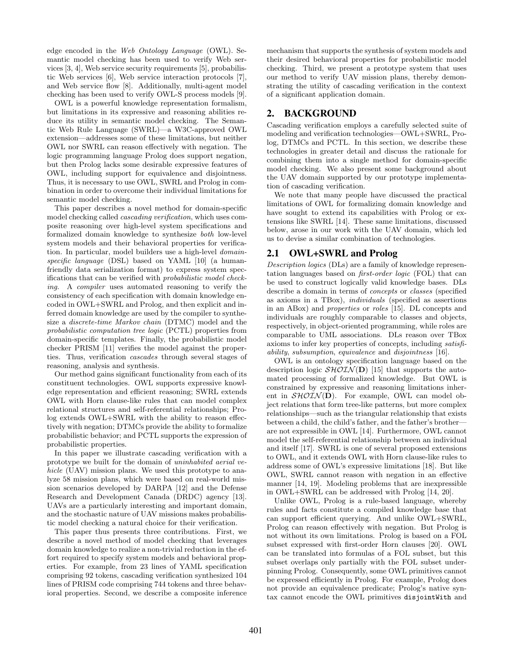edge encoded in the Web Ontology Language (OWL). Semantic model checking has been used to verify Web services [3, 4], Web service security requirements [5], probabilistic Web services [6], Web service interaction protocols [7], and Web service flow [8]. Additionally, multi-agent model checking has been used to verify OWL-S process models [9].

OWL is a powerful knowledge representation formalism, but limitations in its expressive and reasoning abilities reduce its utility in semantic model checking. The Semantic Web Rule Language (SWRL)—a W3C-approved OWL extension—addresses some of these limitations, but neither OWL nor SWRL can reason effectively with negation. The logic programming language Prolog does support negation, but then Prolog lacks some desirable expressive features of OWL, including support for equivalence and disjointness. Thus, it is necessary to use OWL, SWRL and Prolog in combination in order to overcome their individual limitations for semantic model checking.

This paper describes a novel method for domain-specific model checking called cascading verification, which uses composite reasoning over high-level system specifications and formalized domain knowledge to synthesize both low-level system models and their behavioral properties for verification. In particular, model builders use a high-level domainspecific language (DSL) based on YAML [10] (a humanfriendly data serialization format) to express system specifications that can be verified with probabilistic model checking. A compiler uses automated reasoning to verify the consistency of each specification with domain knowledge encoded in OWL+SWRL and Prolog, and then explicit and inferred domain knowledge are used by the compiler to synthesize a discrete-time Markov chain (DTMC) model and the probabilistic computation tree logic (PCTL) properties from domain-specific templates. Finally, the probabilistic model checker PRISM [11] verifies the model against the properties. Thus, verification cascades through several stages of reasoning, analysis and synthesis.

Our method gains significant functionality from each of its constituent technologies. OWL supports expressive knowledge representation and efficient reasoning; SWRL extends OWL with Horn clause-like rules that can model complex relational structures and self-referential relationships; Prolog extends OWL+SWRL with the ability to reason effectively with negation; DTMCs provide the ability to formalize probabilistic behavior; and PCTL supports the expression of probabilistic properties.

In this paper we illustrate cascading verification with a prototype we built for the domain of uninhabited aerial vehicle (UAV) mission plans. We used this prototype to analyze 58 mission plans, which were based on real-world mission scenarios developed by DARPA [12] and the Defense Research and Development Canada (DRDC) agency [13]. UAVs are a particularly interesting and important domain, and the stochastic nature of UAV missions makes probabilistic model checking a natural choice for their verification.

This paper thus presents three contributions. First, we describe a novel method of model checking that leverages domain knowledge to realize a non-trivial reduction in the effort required to specify system models and behavioral properties. For example, from 23 lines of YAML specification comprising 92 tokens, cascading verification synthesized 104 lines of PRISM code comprising 744 tokens and three behavioral properties. Second, we describe a composite inference mechanism that supports the synthesis of system models and their desired behavioral properties for probabilistic model checking. Third, we present a prototype system that uses our method to verify UAV mission plans, thereby demonstrating the utility of cascading verification in the context of a significant application domain.

#### 2. BACKGROUND

Cascading verification employs a carefully selected suite of modeling and verification technologies—OWL+SWRL, Prolog, DTMCs and PCTL. In this section, we describe these technologies in greater detail and discuss the rationale for combining them into a single method for domain-specific model checking. We also present some background about the UAV domain supported by our prototype implementation of cascading verification.

We note that many people have discussed the practical limitations of OWL for formalizing domain knowledge and have sought to extend its capabilities with Prolog or extensions like SWRL [14]. These same limitations, discussed below, arose in our work with the UAV domain, which led us to devise a similar combination of technologies.

#### 2.1 OWL+SWRL and Prolog

Description logics (DLs) are a family of knowledge representation languages based on first-order logic (FOL) that can be used to construct logically valid knowledge bases. DLs describe a domain in terms of concepts or classes (specified as axioms in a TBox), individuals (specified as assertions in an ABox) and properties or roles [15]. DL concepts and individuals are roughly comparable to classes and objects, respectively, in object-oriented programming, while roles are comparable to UML associations. DLs reason over TBox axioms to infer key properties of concepts, including satisfiability, subsumption, equivalence and disjointness [16].

OWL is an ontology specification language based on the description logic  $\mathcal{SHOLN}(\mathbf{D})$  [15] that supports the automated processing of formalized knowledge. But OWL is constrained by expressive and reasoning limitations inherent in  $\mathcal{SHOLN}(\mathbf{D})$ . For example, OWL can model object relations that form tree-like patterns, but more complex relationships—such as the triangular relationship that exists between a child, the child's father, and the father's brother are not expressible in OWL [14]. Furthermore, OWL cannot model the self-referential relationship between an individual and itself [17]. SWRL is one of several proposed extensions to OWL, and it extends OWL with Horn clause-like rules to address some of OWL's expressive limitations [18]. But like OWL, SWRL cannot reason with negation in an effective manner [14, 19]. Modeling problems that are inexpressible in OWL+SWRL can be addressed with Prolog [14, 20].

Unlike OWL, Prolog is a rule-based language, whereby rules and facts constitute a compiled knowledge base that can support efficient querying. And unlike OWL+SWRL, Prolog can reason effectively with negation. But Prolog is not without its own limitations. Prolog is based on a FOL subset expressed with first-order Horn clauses [20]. OWL can be translated into formulas of a FOL subset, but this subset overlaps only partially with the FOL subset underpinning Prolog. Consequently, some OWL primitives cannot be expressed efficiently in Prolog. For example, Prolog does not provide an equivalence predicate; Prolog's native syntax cannot encode the OWL primitives disjointWith and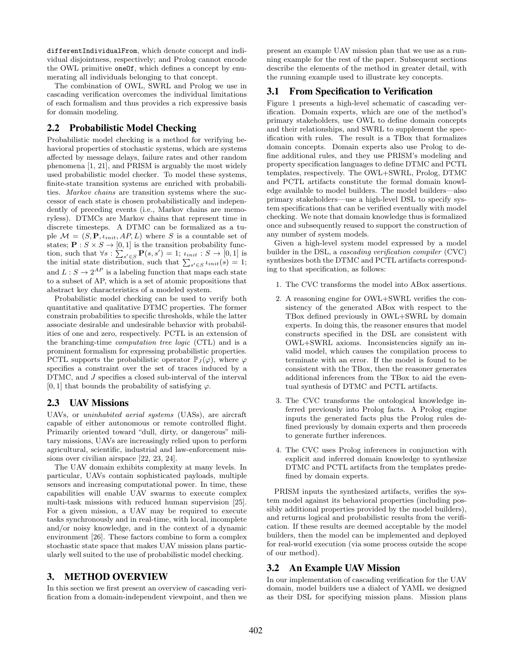differentIndividualFrom, which denote concept and individual disjointness, respectively; and Prolog cannot encode the OWL primitive oneOf, which defines a concept by enumerating all individuals belonging to that concept.

The combination of OWL, SWRL and Prolog we use in cascading verification overcomes the individual limitations of each formalism and thus provides a rich expressive basis for domain modeling.

#### 2.2 Probabilistic Model Checking

Probabilistic model checking is a method for verifying behavioral properties of stochastic systems, which are systems affected by message delays, failure rates and other random phenomena [1, 21], and PRISM is arguably the most widely used probabilistic model checker. To model these systems, finite-state transition systems are enriched with probabilities. Markov chains are transition systems where the successor of each state is chosen probabilistically and independently of preceding events (i.e., Markov chains are memoryless). DTMCs are Markov chains that represent time in discrete timesteps. A DTMC can be formalized as a tuple  $\mathcal{M} = (S, \mathbf{P}, \iota_{init}, AP, L)$  where S is a countable set of states;  $\mathbf{P}: S \times S \rightarrow [0, 1]$  is the transition probability function, such that ∀s : P <sup>s</sup>0∈<sup>S</sup> P(s, s<sup>0</sup> ) = 1; ιinit : S → [0, 1] is the initial state distribution, such that  $\sum_{s' \in S} t_{init}(s) = 1;$ and  $L: S \to 2^{AP}$  is a labeling function that maps each state to a subset of AP, which is a set of atomic propositions that abstract key characteristics of a modeled system.

Probabilistic model checking can be used to verify both quantitative and qualitative DTMC properties. The former constrain probabilities to specific thresholds, while the latter associate desirable and undesirable behavior with probabilities of one and zero, respectively. PCTL is an extension of the branching-time computation tree logic (CTL) and is a prominent formalism for expressing probabilistic properties. PCTL supports the probabilistic operator  $\mathbb{P}_J(\varphi)$ , where  $\varphi$ specifies a constraint over the set of traces induced by a DTMC, and J specifies a closed sub-interval of the interval [0, 1] that bounds the probability of satisfying  $\varphi$ .

#### 2.3 UAV Missions

UAVs, or uninhabited aerial systems (UASs), are aircraft capable of either autonomous or remote controlled flight. Primarily oriented toward "dull, dirty, or dangerous" military missions, UAVs are increasingly relied upon to perform agricultural, scientific, industrial and law-enforcement missions over civilian airspace [22, 23, 24].

The UAV domain exhibits complexity at many levels. In particular, UAVs contain sophisticated payloads, multiple sensors and increasing computational power. In time, these capabilities will enable UAV swarms to execute complex multi-task missions with reduced human supervision [25]. For a given mission, a UAV may be required to execute tasks synchronously and in real-time, with local, incomplete and/or noisy knowledge, and in the context of a dynamic environment [26]. These factors combine to form a complex stochastic state space that makes UAV mission plans particularly well suited to the use of probabilistic model checking.

#### 3. METHOD OVERVIEW

In this section we first present an overview of cascading verification from a domain-independent viewpoint, and then we present an example UAV mission plan that we use as a running example for the rest of the paper. Subsequent sections describe the elements of the method in greater detail, with the running example used to illustrate key concepts.

#### 3.1 From Specification to Verification

Figure 1 presents a high-level schematic of cascading verification. Domain experts, which are one of the method's primary stakeholders, use OWL to define domain concepts and their relationships, and SWRL to supplement the specification with rules. The result is a TBox that formalizes domain concepts. Domain experts also use Prolog to define additional rules, and they use PRISM's modeling and property specification languages to define DTMC and PCTL templates, respectively. The OWL+SWRL, Prolog, DTMC and PCTL artifacts constitute the formal domain knowledge available to model builders. The model builders—also primary stakeholders—use a high-level DSL to specify system specifications that can be verified eventually with model checking. We note that domain knowledge thus is formalized once and subsequently reused to support the construction of any number of system models.

Given a high-level system model expressed by a model builder in the DSL, a cascading verification compiler (CVC) synthesizes both the DTMC and PCTL artifacts corresponding to that specification, as follows:

- 1. The CVC transforms the model into ABox assertions.
- 2. A reasoning engine for OWL+SWRL verifies the consistency of the generated ABox with respect to the TBox defined previously in OWL+SWRL by domain experts. In doing this, the reasoner ensures that model constructs specified in the DSL are consistent with OWL+SWRL axioms. Inconsistencies signify an invalid model, which causes the compilation process to terminate with an error. If the model is found to be consistent with the TBox, then the reasoner generates additional inferences from the TBox to aid the eventual synthesis of DTMC and PCTL artifacts.
- 3. The CVC transforms the ontological knowledge inferred previously into Prolog facts. A Prolog engine inputs the generated facts plus the Prolog rules defined previously by domain experts and then proceeds to generate further inferences.
- 4. The CVC uses Prolog inferences in conjunction with explicit and inferred domain knowledge to synthesize DTMC and PCTL artifacts from the templates predefined by domain experts.

PRISM inputs the synthesized artifacts, verifies the system model against its behavioral properties (including possibly additional properties provided by the model builders), and returns logical and probabilistic results from the verification. If these results are deemed acceptable by the model builders, then the model can be implemented and deployed for real-world execution (via some process outside the scope of our method).

#### 3.2 An Example UAV Mission

In our implementation of cascading verification for the UAV domain, model builders use a dialect of YAML we designed as their DSL for specifying mission plans. Mission plans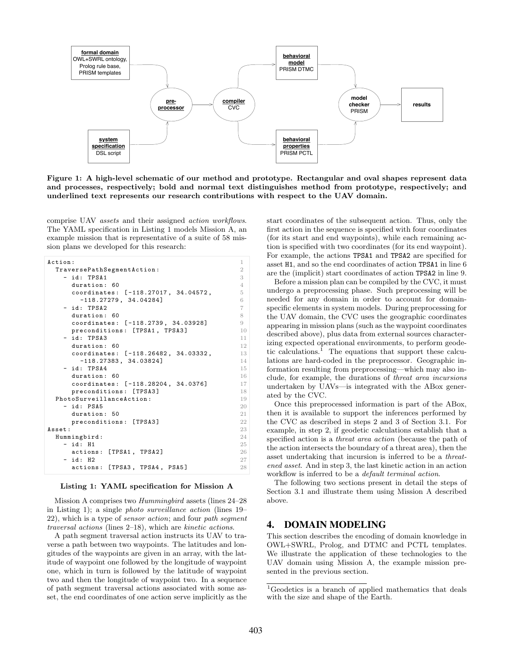

Figure 1: A high-level schematic of our method and prototype. Rectangular and oval shapes represent data and processes, respectively; bold and normal text distinguishes method from prototype, respectively; and underlined text represents our research contributions with respect to the UAV domain.

comprise UAV assets and their assigned action workflows. The YAML specification in Listing 1 models Mission A, an example mission that is representative of a suite of 58 mission plans we developed for this research:

| Action:                             | 1              |
|-------------------------------------|----------------|
| TraversePathSegmentAction:          | $\overline{2}$ |
| - id: TPSA1                         | 3              |
| duration: 60                        | $\overline{4}$ |
| coordinates: [-118.27017, 34.04572, | 5              |
| $-118.27279, 34.04284]$             | 6              |
| - id: TPSA2                         | $\overline{7}$ |
| duration: 60                        | 8              |
| coordinates: [-118.2739, 34.03928]  | 9              |
| preconditions: [TPSA1, TPSA3]       | 10             |
| - id: TPSA3                         | 11             |
| duration: 60                        | 12             |
| coordinates: [-118.26482, 34.03332, | 13             |
| $-118.27383, 34.03824$              | 14             |
| $-$ id: TPSA4                       | 15             |
| duration: 60                        | 16             |
| coordinates: [-118.28204, 34.0376]  | 17             |
| preconditions: [TPSA3]              | 18             |
| PhotoSurveillanceAction:            | 19             |
| - id: PSA5                          | 20             |
| duration: 50                        | 21             |
| preconditions: [TPSA3]              | 22             |
| Asset:                              | 23             |
| Hummingbird:                        | 24             |
| $-$ id: $H1$                        | 25             |
| actions: [TPSA1, TPSA2]             | 26             |
| $-$ id: $H2$                        | 27             |
| actions: [TPSA3, TPSA4, PSA5]       | 28             |
|                                     |                |

#### Listing 1: YAML specification for Mission A

Mission A comprises two Hummingbird assets (lines 24–28 in Listing 1); a single photo surveillance action (lines 19– 22), which is a type of sensor action; and four path segment traversal actions (lines 2–18), which are kinetic actions.

A path segment traversal action instructs its UAV to traverse a path between two waypoints. The latitudes and longitudes of the waypoints are given in an array, with the latitude of waypoint one followed by the longitude of waypoint one, which in turn is followed by the latitude of waypoint two and then the longitude of waypoint two. In a sequence of path segment traversal actions associated with some asset, the end coordinates of one action serve implicitly as the start coordinates of the subsequent action. Thus, only the first action in the sequence is specified with four coordinates (for its start and end waypoints), while each remaining action is specified with two coordinates (for its end waypoint). For example, the actions TPSA1 and TPSA2 are specified for asset H1, and so the end coordinates of action TPSA1 in line 6 are the (implicit) start coordinates of action TPSA2 in line 9.

Before a mission plan can be compiled by the CVC, it must undergo a preprocessing phase. Such preprocessing will be needed for any domain in order to account for domainspecific elements in system models. During preprocessing for the UAV domain, the CVC uses the geographic coordinates appearing in mission plans (such as the waypoint coordinates described above), plus data from external sources characterizing expected operational environments, to perform geodetic calculations.<sup>1</sup> The equations that support these calculations are hard-coded in the preprocessor. Geographic information resulting from preprocessing—which may also include, for example, the durations of threat area incursions undertaken by UAVs—is integrated with the ABox generated by the CVC.

Once this preprocessed information is part of the ABox, then it is available to support the inferences performed by the CVC as described in steps 2 and 3 of Section 3.1. For example, in step 2, if geodetic calculations establish that a specified action is a threat area action (because the path of the action intersects the boundary of a threat area), then the asset undertaking that incursion is inferred to be a threatened asset. And in step 3, the last kinetic action in an action workflow is inferred to be a default terminal action.

The following two sections present in detail the steps of Section 3.1 and illustrate them using Mission A described above.

#### 4. DOMAIN MODELING

This section describes the encoding of domain knowledge in OWL+SWRL, Prolog, and DTMC and PCTL templates. We illustrate the application of these technologies to the UAV domain using Mission A, the example mission presented in the previous section.

 ${}^{1}$ Geodetics is a branch of applied mathematics that deals with the size and shape of the Earth.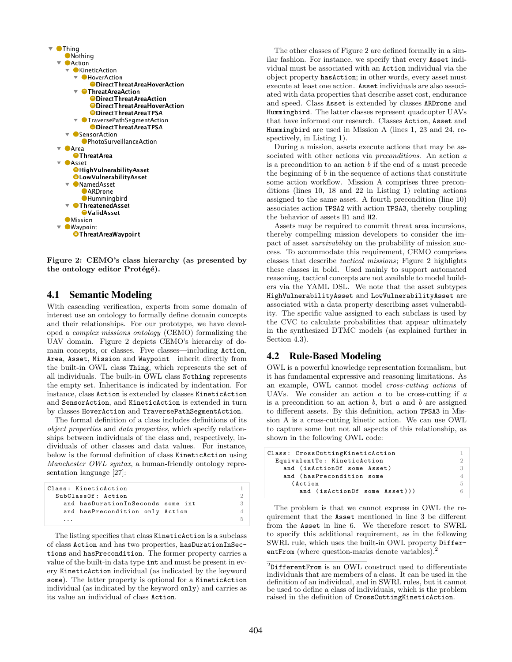

Figure 2: CEMO's class hierarchy (as presented by the ontology editor Protégé).

#### 4.1 Semantic Modeling

With cascading verification, experts from some domain of interest use an ontology to formally define domain concepts and their relationships. For our prototype, we have developed a complex missions ontology (CEMO) formalizing the UAV domain. Figure 2 depicts CEMO's hierarchy of domain concepts, or classes. Five classes—including Action, Area, Asset, Mission and Waypoint—inherit directly from the built-in OWL class Thing, which represents the set of all individuals. The built-in OWL class Nothing represents the empty set. Inheritance is indicated by indentation. For instance, class Action is extended by classes KineticAction and SensorAction, and KineticAction is extended in turn by classes HoverAction and TraversePathSegmentAction.

The formal definition of a class includes definitions of its object properties and data properties, which specify relationships between individuals of the class and, respectively, individuals of other classes and data values. For instance, below is the formal definition of class KineticAction using Manchester OWL syntax, a human-friendly ontology representation language [27]:

| Class: KineticAction              |    |
|-----------------------------------|----|
| SubClassOf: Action                |    |
| and hasDurationInSeconds some int |    |
| and hasPrecondition only Action   |    |
| .                                 | 5. |

The listing specifies that class KineticAction is a subclass of class Action and has two properties, hasDurationInSections and hasPrecondition. The former property carries a value of the built-in data type int and must be present in every KineticAction individual (as indicated by the keyword some). The latter property is optional for a KineticAction individual (as indicated by the keyword only) and carries as its value an individual of class Action.

The other classes of Figure 2 are defined formally in a similar fashion. For instance, we specify that every Asset individual must be associated with an Action individual via the object property hasAction; in other words, every asset must execute at least one action. Asset individuals are also associated with data properties that describe asset cost, endurance and speed. Class Asset is extended by classes ARDrone and Hummingbird. The latter classes represent quadcopter UAVs that have informed our research. Classes Action, Asset and Hummingbird are used in Mission A (lines 1, 23 and 24, respectively, in Listing 1).

During a mission, assets execute actions that may be associated with other actions via *preconditions*. An action a is a precondition to an action  $b$  if the end of  $a$  must precede the beginning of  $b$  in the sequence of actions that constitute some action workflow. Mission A comprises three preconditions (lines 10, 18 and 22 in Listing 1) relating actions assigned to the same asset. A fourth precondition (line 10) associates action TPSA2 with action TPSA3, thereby coupling the behavior of assets H1 and H2.

Assets may be required to commit threat area incursions, thereby compelling mission developers to consider the impact of asset survivability on the probability of mission success. To accommodate this requirement, CEMO comprises classes that describe tactical missions; Figure 2 highlights these classes in bold. Used mainly to support automated reasoning, tactical concepts are not available to model builders via the YAML DSL. We note that the asset subtypes HighVulnerabilityAsset and LowVulnerabilityAsset are associated with a data property describing asset vulnerability. The specific value assigned to each subclass is used by the CVC to calculate probabilities that appear ultimately in the synthesized DTMC models (as explained further in Section 4.3).

#### 4.2 Rule-Based Modeling

OWL is a powerful knowledge representation formalism, but it has fundamental expressive and reasoning limitations. As an example, OWL cannot model cross-cutting actions of UAVs. We consider an action  $a$  to be cross-cutting if  $a$ is a precondition to an action  $b$ , but  $a$  and  $b$  are assigned to different assets. By this definition, action TPSA3 in Mission A is a cross-cutting kinetic action. We can use OWL to capture some but not all aspects of this relationship, as shown in the following OWL code:

| Class: CrossCuttingKineticAction |         |
|----------------------------------|---------|
| EquivalentTo: KineticAction      | $\cdot$ |
| and (isActionOf some Asset)      | 3       |
| and (hasPrecondition some        |         |
| (Action)                         | .5      |
| and (isActionOf some Asset)))    |         |

The problem is that we cannot express in OWL the requirement that the Asset mentioned in line 3 be different from the Asset in line 6. We therefore resort to SWRL to specify this additional requirement, as in the following SWRL rule, which uses the built-in OWL property DifferentFrom (where question-marks denote variables). $^{2}$ 

 $^{2}$ DifferentFrom is an OWL construct used to differentiate individuals that are members of a class. It can be used in the definition of an individual, and in SWRL rules, but it cannot be used to define a class of individuals, which is the problem raised in the definition of CrossCuttingKineticAction.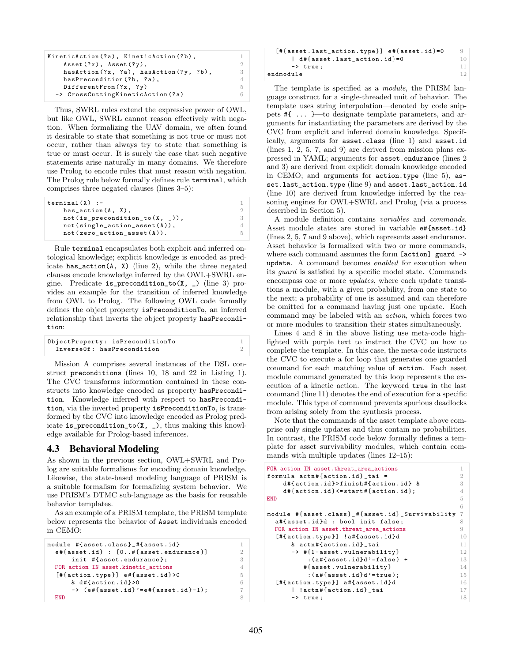```
KineticAction (?a), KineticAction (?b), 1<br>Asset (?x), Asset (?y), 2
   Asset (?x), Asset (?y),
   hasAction (?x, ?a), hasAction (?y, ?b), 3
   hasPrecondition (?b, ?a), 4
   DifferentFrom (?x, ?y) 5
 -> CrossCuttingKineticAction (?a) 6
```
Thus, SWRL rules extend the expressive power of OWL, but like OWL, SWRL cannot reason effectively with negation. When formalizing the UAV domain, we often found it desirable to state that something is not true or must not occur, rather than always try to state that something is true or must occur. It is surely the case that such negative statements arise naturally in many domains. We therefore use Prolog to encode rules that must reason with negation. The Prolog rule below formally defines rule terminal, which comprises three negated clauses (lines 3–5):

| $\texttt{terminal}(X)$ :-         |  |
|-----------------------------------|--|
| has_action $(A, X)$ ,             |  |
| $not(is_precondition_to(X, _))$ , |  |
| $not(single\_action\_asset(A))$ , |  |
| $not (zero_action_asset(A))$ .    |  |

Rule terminal encapsulates both explicit and inferred ontological knowledge; explicit knowledge is encoded as predicate has\_action( $\Lambda$ ,  $\bar{\Lambda}$ ) (line 2), while the three negated clauses encode knowledge inferred by the OWL+SWRL engine. Predicate is\_precondition\_to(X, \_) (line 3) provides an example for the transition of inferred knowledge from OWL to Prolog. The following OWL code formally defines the object property isPreconditionTo, an inferred relationship that inverts the object property hasPrecondition:

| ObjectProperty: isPreconditionTo |  |
|----------------------------------|--|
| InverseOf: hasPrecondition       |  |

Mission A comprises several instances of the DSL construct preconditions (lines 10, 18 and 22 in Listing 1). The CVC transforms information contained in these constructs into knowledge encoded as property hasPrecondition. Knowledge inferred with respect to hasPrecondition, via the inverted property isPreconditionTo, is transformed by the CVC into knowledge encoded as Prolog predicate is\_precondition\_to( $X$ ,  $\Box$ ), thus making this knowledge available for Prolog-based inferences.

#### 4.3 Behavioral Modeling

As shown in the previous section, OWL+SWRL and Prolog are suitable formalisms for encoding domain knowledge. Likewise, the state-based modeling language of PRISM is a suitable formalism for formalizing system behavior. We use PRISM's DTMC sub-language as the basis for reusable behavior templates.

As an example of a PRISM template, the PRISM template below represents the behavior of Asset individuals encoded in CEMO:

| module #{asset.class}_#{asset.id}             | 1              |
|-----------------------------------------------|----------------|
| $e#$ {asset.id} : $[0#$ {asset.endurance}]    | $\mathcal{D}$  |
| init #{asset.endurance};                      | $\mathcal{S}$  |
| FOR action IN asset.kinetic_actions           | $\overline{A}$ |
| $[#{action.type}]$ e# ${assign:}$             | 5              |
| & d#faction.id}>0                             | 6              |
| $\rightarrow$ (e#{asset.id}'=e#{asset.id}-1); | 7              |
|                                               | 8              |

| [#{asset.last_action.type}] e#{asset.id}=0 | 9  |
|--------------------------------------------|----|
| $\vert$ d#{asset.last_action.id}=0         |    |
| $\rightarrow$ true:                        | 11 |
| endmodule                                  | 12 |

The template is specified as a module, the PRISM language construct for a single-threaded unit of behavior. The template uses string interpolation—denoted by code snippets #{ ... }—to designate template parameters, and arguments for instantiating the parameters are derived by the CVC from explicit and inferred domain knowledge. Specifically, arguments for asset.class (line 1) and asset.id (lines 1, 2, 5, 7, and 9) are derived from mission plans expressed in YAML; arguments for asset.endurance (lines 2 and 3) are derived from explicit domain knowledge encoded in CEMO; and arguments for action.type (line 5), asset.last\_action.type (line 9) and asset.last\_action.id (line 10) are derived from knowledge inferred by the reasoning engines for OWL+SWRL and Prolog (via a process described in Section 5).

A module definition contains variables and commands. Asset module states are stored in variable e#{asset.id} (lines 2, 5, 7 and 9 above), which represents asset endurance. Asset behavior is formalized with two or more commands, where each command assumes the form [action] guard  $\rightarrow$ update. A command becomes enabled for execution when its guard is satisfied by a specific model state. Commands encompass one or more updates, where each update transitions a module, with a given probability, from one state to the next; a probability of one is assumed and can therefore be omitted for a command having just one update. Each command may be labeled with an action, which forces two or more modules to transition their states simultaneously.

Lines 4 and 8 in the above listing use meta-code highlighted with purple text to instruct the CVC on how to complete the template. In this case, the meta-code instructs the CVC to execute a for loop that generates one guarded command for each matching value of action. Each asset module command generated by this loop represents the execution of a kinetic action. The keyword true in the last command (line 11) denotes the end of execution for a specific module. This type of command prevents spurious deadlocks from arising solely from the synthesis process.

Note that the commands of the asset template above comprise only single updates and thus contain no probabilities. In contrast, the PRISM code below formally defines a template for asset survivability modules, which contain commands with multiple updates (lines 12–15):

| FOR action IN asset.threat_area_actions                     | 1  |
|-------------------------------------------------------------|----|
| formula $actn#{action.id}$ _tai =                           | 2  |
| d#{action.id}>finish#{action.id} &                          | 3  |
| $df_{\text{action.id}} <= start \# \{ \text{action.id} \};$ | 4  |
| <b>END</b>                                                  | 5  |
|                                                             | 6  |
| module #{asset.class}_#{asset.id}_Survivability             | 7  |
| a#{asset.id}d : bool init false;                            | 8  |
| FOR action IN asset.threat_area_actions                     | 9  |
| [#{action.type}] !a#{asset.id}d                             | 10 |
| & actn#{action.id}_tai                                      | 11 |
| -> #{1-asset.vulnerability}                                 | 12 |
| $:(a\# {\text{asset.id}} d' = {\text{false}})$ +            | 13 |
| #{asset.vulnerability}                                      | 14 |
| $:(a \# \{ asset.id\} d \text{'} = true);$                  | 15 |
| [#{action.type}] a#{asset.id}d                              | 16 |
| !actn#{action.id}_tai                                       | 17 |
| -> true;                                                    | 18 |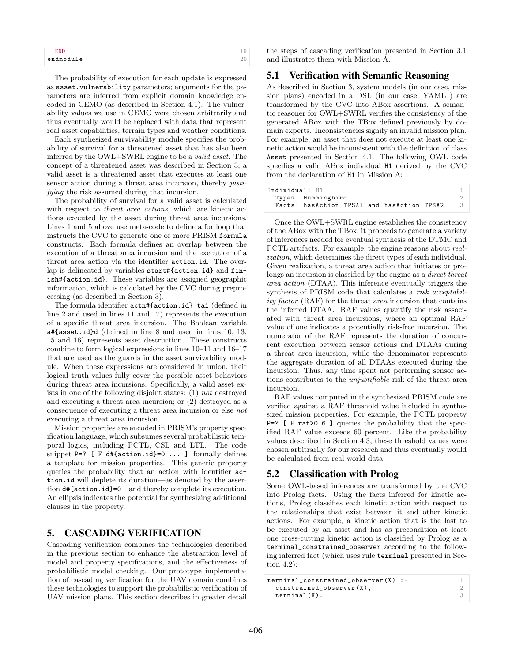| <b>END</b> | 19 |
|------------|----|
| endmodule  | 20 |

The probability of execution for each update is expressed as asset.vulnerability parameters; arguments for the parameters are inferred from explicit domain knowledge encoded in CEMO (as described in Section 4.1). The vulnerability values we use in CEMO were chosen arbitrarily and thus eventually would be replaced with data that represent real asset capabilities, terrain types and weather conditions.

Each synthesized survivability module specifies the probability of survival for a threatened asset that has also been inferred by the OWL+SWRL engine to be a valid asset. The concept of a threatened asset was described in Section 3; a valid asset is a threatened asset that executes at least one sensor action during a threat area incursion, thereby *justi*fying the risk assumed during that incursion.

The probability of survival for a valid asset is calculated with respect to *threat area actions*, which are kinetic actions executed by the asset during threat area incursions. Lines 1 and 5 above use meta-code to define a for loop that instructs the CVC to generate one or more PRISM formula constructs. Each formula defines an overlap between the execution of a threat area incursion and the execution of a threat area action via the identifier action.id. The overlap is delineated by variables start#{action.id} and finish#{action.id}. These variables are assigned geographic information, which is calculated by the CVC during preprocessing (as described in Section 3).

The formula identifier actn#{action.id}\_tai (defined in line 2 and used in lines 11 and 17) represents the execution of a specific threat area incursion. The Boolean variable a#{asset.id}d (defined in line 8 and used in lines 10, 13, 15 and 16) represents asset destruction. These constructs combine to form logical expressions in lines 10–11 and 16–17 that are used as the guards in the asset survivability module. When these expressions are considered in union, their logical truth values fully cover the possible asset behaviors during threat area incursions. Specifically, a valid asset exists in one of the following disjoint states: (1) not destroyed and executing a threat area incursion; or (2) destroyed as a consequence of executing a threat area incursion or else not executing a threat area incursion.

Mission properties are encoded in PRISM's property specification language, which subsumes several probabilistic temporal logics, including PCTL, CSL and LTL. The code snippet P=? [ F d#{action.id}=0 ... ] formally defines a template for mission properties. This generic property queries the probability that an action with identifier action.id will deplete its duration—as denoted by the assertion d#{action.id}=0—and thereby complete its execution. An ellipsis indicates the potential for synthesizing additional clauses in the property.

#### 5. CASCADING VERIFICATION

Cascading verification combines the technologies described in the previous section to enhance the abstraction level of model and property specifications, and the effectiveness of probabilistic model checking. Our prototype implementation of cascading verification for the UAV domain combines these technologies to support the probabilistic verification of UAV mission plans. This section describes in greater detail the steps of cascading verification presented in Section 3.1 and illustrates them with Mission A.

#### 5.1 Verification with Semantic Reasoning

As described in Section 3, system models (in our case, mission plans) encoded in a DSL (in our case, YAML ) are transformed by the CVC into ABox assertions. A semantic reasoner for OWL+SWRL verifies the consistency of the generated ABox with the TBox defined previously by domain experts. Inconsistencies signify an invalid mission plan. For example, an asset that does not execute at least one kinetic action would be inconsistent with the definition of class Asset presented in Section 4.1. The following OWL code specifies a valid ABox individual H1 derived by the CVC from the declaration of H1 in Mission A:

| Individual: H1 |                                              |  |  |       |
|----------------|----------------------------------------------|--|--|-------|
|                | Types: Hummingbird                           |  |  |       |
|                | Facts: has Action TPSA1 and has Action TPSA2 |  |  | - 3 - |

Once the OWL+SWRL engine establishes the consistency of the ABox with the TBox, it proceeds to generate a variety of inferences needed for eventual synthesis of the DTMC and PCTL artifacts. For example, the engine reasons about *real*ization, which determines the direct types of each individual. Given realization, a threat area action that initiates or prolongs an incursion is classified by the engine as a direct threat area action (DTAA). This inference eventually triggers the synthesis of PRISM code that calculates a risk acceptability factor (RAF) for the threat area incursion that contains the inferred DTAA. RAF values quantify the risk associated with threat area incursions, where an optimal RAF value of one indicates a potentially risk-free incursion. The numerator of the RAF represents the duration of concurrent execution between sensor actions and DTAAs during a threat area incursion, while the denominator represents the aggregate duration of all DTAAs executed during the incursion. Thus, any time spent not performing sensor actions contributes to the unjustifiable risk of the threat area incursion.

RAF values computed in the synthesized PRISM code are verified against a RAF threshold value included in synthesized mission properties. For example, the PCTL property P=? [ F raf>0.6 ] queries the probability that the specified RAF value exceeds 60 percent. Like the probability values described in Section 4.3, these threshold values were chosen arbitrarily for our research and thus eventually would be calculated from real-world data.

#### 5.2 Classification with Prolog

Some OWL-based inferences are transformed by the CVC into Prolog facts. Using the facts inferred for kinetic actions, Prolog classifies each kinetic action with respect to the relationships that exist between it and other kinetic actions. For example, a kinetic action that is the last to be executed by an asset and has as precondition at least one cross-cutting kinetic action is classified by Prolog as a terminal\_constrained\_observer according to the following inferred fact (which uses rule terminal presented in Section 4.2):

| terminal constrained observer $(X)$ :- |  |
|----------------------------------------|--|
| $constant\_observation(x)$ ,           |  |
| $\texttt{terminal}(X)$ .               |  |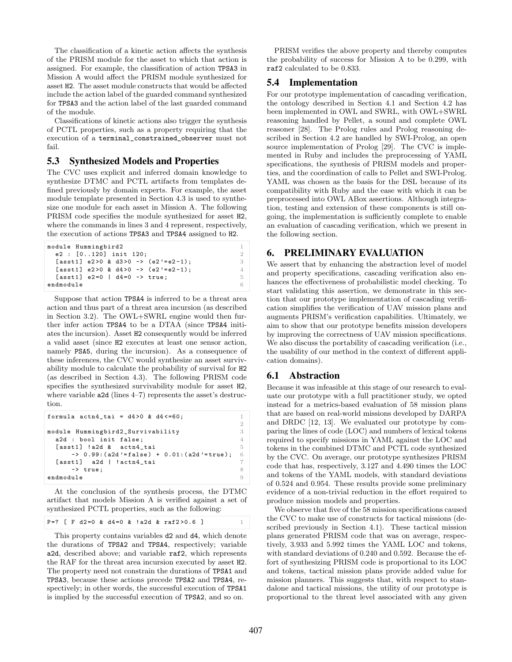The classification of a kinetic action affects the synthesis of the PRISM module for the asset to which that action is assigned. For example, the classification of action TPSA3 in Mission A would affect the PRISM module synthesized for asset H2. The asset module constructs that would be affected include the action label of the guarded command synthesized for TPSA3 and the action label of the last guarded command of the module.

Classifications of kinetic actions also trigger the synthesis of PCTL properties, such as a property requiring that the execution of a terminal\_constrained\_observer must not fail.

#### 5.3 Synthesized Models and Properties

The CVC uses explicit and inferred domain knowledge to synthesize DTMC and PCTL artifacts from templates defined previously by domain experts. For example, the asset module template presented in Section 4.3 is used to synthesize one module for each asset in Mission A. The following PRISM code specifies the module synthesized for asset H2, where the commands in lines 3 and 4 represent, respectively, the execution of actions TPSA3 and TPSA4 assigned to H2.

```
module Hummingbird2 1<br>
e2 : [0..120] init 120;<br>
2
 e2 : [0..120] init 120; 2
 [asst1] e2>0 & d3>0 -> (e2'=e2-1);
 [asst1] e2>0 & d4>0 -> (e2'=e2-1);
 [asst1] e2=0 | d4=0 -> true; 5
endmodule 6
```
Suppose that action TPSA4 is inferred to be a threat area action and thus part of a threat area incursion (as described in Section 3.2). The OWL+SWRL engine would then further infer action TPSA4 to be a DTAA (since TPSA4 initiates the incursion). Asset H2 consequently would be inferred a valid asset (since H2 executes at least one sensor action, namely PSA5, during the incursion). As a consequence of these inferences, the CVC would synthesize an asset survivability module to calculate the probability of survival for H2 (as described in Section 4.3). The following PRISM code specifies the synthesized survivability module for asset H2, where variable a2d (lines 4–7) represents the asset's destruction.

```
formula actual\_tail = d4 > 0 & d4 < = 60;
                               2
module Hummingbird2_Survivability 3
 a2d : bool init false; 4[asst1] !a2d & actn4_tai 5
    - > 0.99: (a2d '=false) + 0.01: (a2d '=true); 6
 [asst1] a2d | !actn4_tai
    \rightarrow true;
endmodule 9
```
At the conclusion of the synthesis process, the DTMC artifact that models Mission A is verified against a set of synthesized PCTL properties, such as the following:

|  |  |  |  |  |  |  |  |  | $P=?$ [ F d2=0 & d4=0 & !a2d & raf2>0.6 ] |  |  |
|--|--|--|--|--|--|--|--|--|-------------------------------------------|--|--|
|--|--|--|--|--|--|--|--|--|-------------------------------------------|--|--|

This property contains variables d2 and d4, which denote the durations of TPSA2 and TPSA4, respectively; variable a2d, described above; and variable raf2, which represents the RAF for the threat area incursion executed by asset H2. The property need not constrain the durations of TPSA1 and TPSA3, because these actions precede TPSA2 and TPSA4, respectively; in other words, the successful execution of TPSA1 is implied by the successful execution of TPSA2, and so on.

PRISM verifies the above property and thereby computes the probability of success for Mission A to be 0.299, with raf2 calculated to be 0.833.

#### 5.4 Implementation

For our prototype implementation of cascading verification, the ontology described in Section 4.1 and Section 4.2 has been implemented in OWL and SWRL, with OWL+SWRL reasoning handled by Pellet, a sound and complete OWL reasoner [28]. The Prolog rules and Prolog reasoning described in Section 4.2 are handled by SWI-Prolog, an open source implementation of Prolog [29]. The CVC is implemented in Ruby and includes the preprocessing of YAML specifications, the synthesis of PRISM models and properties, and the coordination of calls to Pellet and SWI-Prolog. YAML was chosen as the basis for the DSL because of its compatibility with Ruby and the ease with which it can be preprocessed into OWL ABox assertions. Although integration, testing and extension of these components is still ongoing, the implementation is sufficiently complete to enable an evaluation of cascading verification, which we present in the following section.

#### 6. PRELIMINARY EVALUATION

We assert that by enhancing the abstraction level of model and property specifications, cascading verification also enhances the effectiveness of probabilistic model checking. To start validating this assertion, we demonstrate in this section that our prototype implementation of cascading verification simplifies the verification of UAV mission plans and augments PRISM's verification capabilities. Ultimately, we aim to show that our prototype benefits mission developers by improving the correctness of UAV mission specifications. We also discuss the portability of cascading verification (i.e., the usability of our method in the context of different application domains).

#### 6.1 Abstraction

Because it was infeasible at this stage of our research to evaluate our prototype with a full practitioner study, we opted instead for a metrics-based evaluation of 58 mission plans that are based on real-world missions developed by DARPA and DRDC [12, 13]. We evaluated our prototype by comparing the lines of code (LOC) and numbers of lexical tokens required to specify missions in YAML against the LOC and tokens in the combined DTMC and PCTL code synthesized by the CVC. On average, our prototype synthesizes PRISM code that has, respectively, 3.127 and 4.490 times the LOC and tokens of the YAML models, with standard deviations of 0.524 and 0.954. These results provide some preliminary evidence of a non-trivial reduction in the effort required to produce mission models and properties.

We observe that five of the 58 mission specifications caused the CVC to make use of constructs for tactical missions (described previously in Section 4.1). These tactical mission plans generated PRISM code that was on average, respectively, 3.933 and 5.992 times the YAML LOC and tokens, with standard deviations of 0.240 and 0.592. Because the effort of synthesizing PRISM code is proportional to its LOC and tokens, tactical mission plans provide added value for mission planners. This suggests that, with respect to standalone and tactical missions, the utility of our prototype is proportional to the threat level associated with any given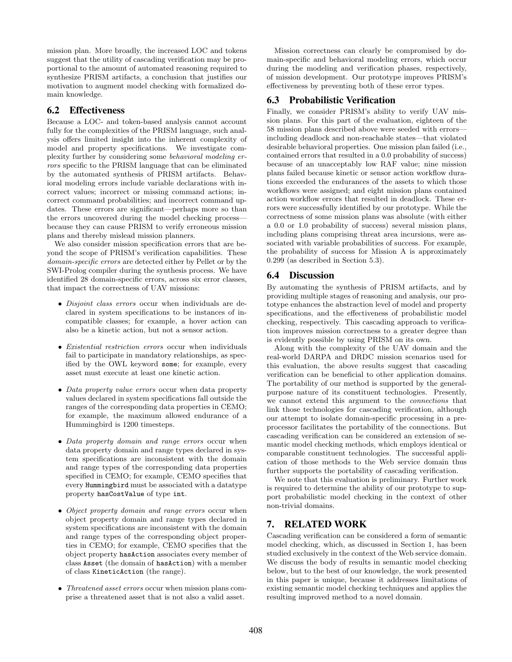mission plan. More broadly, the increased LOC and tokens suggest that the utility of cascading verification may be proportional to the amount of automated reasoning required to synthesize PRISM artifacts, a conclusion that justifies our motivation to augment model checking with formalized domain knowledge.

#### 6.2 Effectiveness

Because a LOC- and token-based analysis cannot account fully for the complexities of the PRISM language, such analysis offers limited insight into the inherent complexity of model and property specifications. We investigate complexity further by considering some behavioral modeling errors specific to the PRISM language that can be eliminated by the automated synthesis of PRISM artifacts. Behavioral modeling errors include variable declarations with incorrect values; incorrect or missing command actions; incorrect command probabilities; and incorrect command updates. These errors are significant—perhaps more so than the errors uncovered during the model checking process because they can cause PRISM to verify erroneous mission plans and thereby mislead mission planners.

We also consider mission specification errors that are beyond the scope of PRISM's verification capabilities. These domain-specific errors are detected either by Pellet or by the SWI-Prolog compiler during the synthesis process. We have identified 28 domain-specific errors, across six error classes, that impact the correctness of UAV missions:

- Disjoint class errors occur when individuals are declared in system specifications to be instances of incompatible classes; for example, a hover action can also be a kinetic action, but not a sensor action.
- *Existential restriction errors* occur when individuals fail to participate in mandatory relationships, as specified by the OWL keyword some; for example, every asset must execute at least one kinetic action.
- Data property value errors occur when data property values declared in system specifications fall outside the ranges of the corresponding data properties in CEMO; for example, the maximum allowed endurance of a Hummingbird is 1200 timesteps.
- Data property domain and range errors occur when data property domain and range types declared in system specifications are inconsistent with the domain and range types of the corresponding data properties specified in CEMO; for example, CEMO specifies that every Hummingbird must be associated with a datatype property hasCostValue of type int.
- Object property domain and range errors occur when object property domain and range types declared in system specifications are inconsistent with the domain and range types of the corresponding object properties in CEMO; for example, CEMO specifies that the object property hasAction associates every member of class Asset (the domain of hasAction) with a member of class KineticAction (the range).
- Threatened asset errors occur when mission plans comprise a threatened asset that is not also a valid asset.

Mission correctness can clearly be compromised by domain-specific and behavioral modeling errors, which occur during the modeling and verification phases, respectively, of mission development. Our prototype improves PRISM's effectiveness by preventing both of these error types.

### 6.3 Probabilistic Verification

Finally, we consider PRISM's ability to verify UAV mission plans. For this part of the evaluation, eighteen of the 58 mission plans described above were seeded with errors including deadlock and non-reachable states—that violated desirable behavioral properties. One mission plan failed (i.e., contained errors that resulted in a 0.0 probability of success) because of an unacceptably low RAF value; nine mission plans failed because kinetic or sensor action workflow durations exceeded the endurances of the assets to which those workflows were assigned; and eight mission plans contained action workflow errors that resulted in deadlock. These errors were successfully identified by our prototype. While the correctness of some mission plans was absolute (with either a 0.0 or 1.0 probability of success) several mission plans, including plans comprising threat area incursions, were associated with variable probabilities of success. For example, the probability of success for Mission A is approximately 0.299 (as described in Section 5.3).

### 6.4 Discussion

By automating the synthesis of PRISM artifacts, and by providing multiple stages of reasoning and analysis, our prototype enhances the abstraction level of model and property specifications, and the effectiveness of probabilistic model checking, respectively. This cascading approach to verification improves mission correctness to a greater degree than is evidently possible by using PRISM on its own.

Along with the complexity of the UAV domain and the real-world DARPA and DRDC mission scenarios used for this evaluation, the above results suggest that cascading verification can be beneficial to other application domains. The portability of our method is supported by the generalpurpose nature of its constituent technologies. Presently, we cannot extend this argument to the connections that link those technologies for cascading verification, although our attempt to isolate domain-specific processing in a preprocessor facilitates the portability of the connections. But cascading verification can be considered an extension of semantic model checking methods, which employs identical or comparable constituent technologies. The successful application of those methods to the Web service domain thus further supports the portability of cascading verification.

We note that this evaluation is preliminary. Further work is required to determine the ability of our prototype to support probabilistic model checking in the context of other non-trivial domains.

## 7. RELATED WORK

Cascading verification can be considered a form of semantic model checking, which, as discussed in Section 1, has been studied exclusively in the context of the Web service domain. We discuss the body of results in semantic model checking below, but to the best of our knowledge, the work presented in this paper is unique, because it addresses limitations of existing semantic model checking techniques and applies the resulting improved method to a novel domain.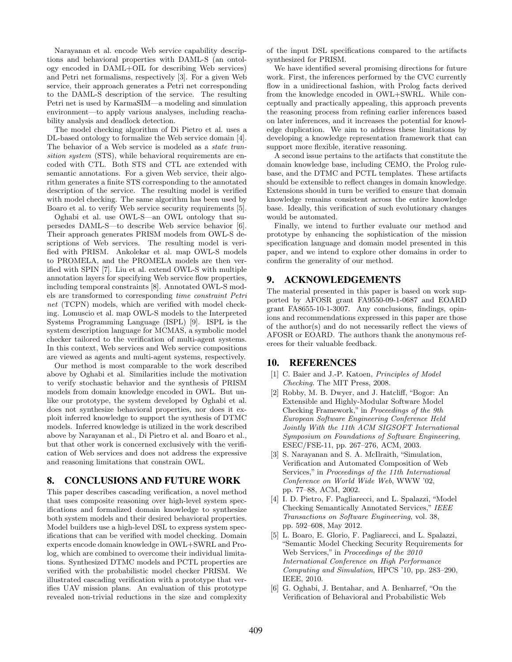Narayanan et al. encode Web service capability descriptions and behavioral properties with DAML-S (an ontology encoded in DAML+OIL for describing Web services) and Petri net formalisms, respectively [3]. For a given Web service, their approach generates a Petri net corresponding to the DAML-S description of the service. The resulting Petri net is used by KarmaSIM—a modeling and simulation environment—to apply various analyses, including reachability analysis and deadlock detection.

The model checking algorithm of Di Pietro et al. uses a DL-based ontology to formalize the Web service domain [4]. The behavior of a Web service is modeled as a state transition system (STS), while behavioral requirements are encoded with CTL. Both STS and CTL are extended with semantic annotations. For a given Web service, their algorithm generates a finite STS corresponding to the annotated description of the service. The resulting model is verified with model checking. The same algorithm has been used by Boaro et al. to verify Web service security requirements [5].

Oghabi et al. use OWL-S—an OWL ontology that supersedes DAML-S—to describe Web service behavior [6]. Their approach generates PRISM models from OWL-S descriptions of Web services. The resulting model is verified with PRISM. Ankolekar et al. map OWL-S models to PROMELA, and the PROMELA models are then verified with SPIN [7]. Liu et al. extend OWL-S with multiple annotation layers for specifying Web service flow properties, including temporal constraints [8]. Annotated OWL-S models are transformed to corresponding time constraint Petri net (TCPN) models, which are verified with model checking. Lomuscio et al. map OWL-S models to the Interpreted Systems Programming Language (ISPL) [9]. ISPL is the system description language for MCMAS, a symbolic model checker tailored to the verification of multi-agent systems. In this context, Web services and Web service compositions are viewed as agents and multi-agent systems, respectively.

Our method is most comparable to the work described above by Oghabi et al. Similarities include the motivation to verify stochastic behavior and the synthesis of PRISM models from domain knowledge encoded in OWL. But unlike our prototype, the system developed by Oghabi et al. does not synthesize behavioral properties, nor does it exploit inferred knowledge to support the synthesis of DTMC models. Inferred knowledge is utilized in the work described above by Narayanan et al., Di Pietro et al. and Boaro et al., but that other work is concerned exclusively with the verification of Web services and does not address the expressive and reasoning limitations that constrain OWL.

### 8. CONCLUSIONS AND FUTURE WORK

This paper describes cascading verification, a novel method that uses composite reasoning over high-level system specifications and formalized domain knowledge to synthesize both system models and their desired behavioral properties. Model builders use a high-level DSL to express system specifications that can be verified with model checking. Domain experts encode domain knowledge in OWL+SWRL and Prolog, which are combined to overcome their individual limitations. Synthesized DTMC models and PCTL properties are verified with the probabilistic model checker PRISM. We illustrated cascading verification with a prototype that verifies UAV mission plans. An evaluation of this prototype revealed non-trivial reductions in the size and complexity

of the input DSL specifications compared to the artifacts synthesized for PRISM.

We have identified several promising directions for future work. First, the inferences performed by the CVC currently flow in a unidirectional fashion, with Prolog facts derived from the knowledge encoded in OWL+SWRL. While conceptually and practically appealing, this approach prevents the reasoning process from refining earlier inferences based on later inferences, and it increases the potential for knowledge duplication. We aim to address these limitations by developing a knowledge representation framework that can support more flexible, iterative reasoning.

A second issue pertains to the artifacts that constitute the domain knowledge base, including CEMO, the Prolog rulebase, and the DTMC and PCTL templates. These artifacts should be extensible to reflect changes in domain knowledge. Extensions should in turn be verified to ensure that domain knowledge remains consistent across the entire knowledge base. Ideally, this verification of such evolutionary changes would be automated.

Finally, we intend to further evaluate our method and prototype by enhancing the sophistication of the mission specification language and domain model presented in this paper, and we intend to explore other domains in order to confirm the generality of our method.

#### 9. ACKNOWLEDGEMENTS

The material presented in this paper is based on work supported by AFOSR grant FA9550-09-1-0687 and EOARD grant FA8655-10-1-3007. Any conclusions, findings, opinions and recommendations expressed in this paper are those of the author(s) and do not necessarily reflect the views of AFOSR or EOARD. The authors thank the anonymous referees for their valuable feedback.

#### 10. REFERENCES

- [1] C. Baier and J.-P. Katoen, *Principles of Model* Checking. The MIT Press, 2008.
- [2] Robby, M. B. Dwyer, and J. Hatcliff, "Bogor: An Extensible and Highly-Modular Software Model Checking Framework," in Proceedings of the 9th European Software Engineering Conference Held Jointly With the 11th ACM SIGSOFT International Symposium on Foundations of Software Engineering, ESEC/FSE-11, pp. 267–276, ACM, 2003.
- [3] S. Narayanan and S. A. McIlraith, "Simulation, Verification and Automated Composition of Web Services," in Proceedings of the 11th International Conference on World Wide Web, WWW '02, pp. 77–88, ACM, 2002.
- [4] I. D. Pietro, F. Pagliarecci, and L. Spalazzi, "Model Checking Semantically Annotated Services," IEEE Transactions on Software Engineering, vol. 38, pp. 592–608, May 2012.
- [5] L. Boaro, E. Glorio, F. Pagliarecci, and L. Spalazzi, "Semantic Model Checking Security Requirements for Web Services," in Proceedings of the 2010 International Conference on High Performance Computing and Simulation, HPCS '10, pp. 283–290, IEEE, 2010.
- [6] G. Oghabi, J. Bentahar, and A. Benharref, "On the Verification of Behavioral and Probabilistic Web